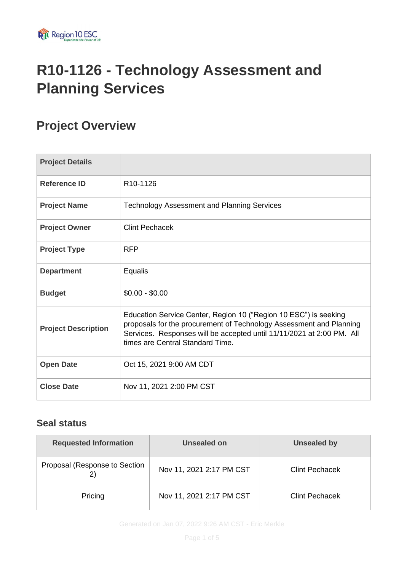

# **R10-1126 - Technology Assessment and Planning Services**

# **Project Overview**

| <b>Project Details</b>     |                                                                                                                                                                                                                                                      |  |
|----------------------------|------------------------------------------------------------------------------------------------------------------------------------------------------------------------------------------------------------------------------------------------------|--|
| <b>Reference ID</b>        | R <sub>10</sub> -1126                                                                                                                                                                                                                                |  |
| <b>Project Name</b>        | <b>Technology Assessment and Planning Services</b>                                                                                                                                                                                                   |  |
| <b>Project Owner</b>       | <b>Clint Pechacek</b>                                                                                                                                                                                                                                |  |
| <b>Project Type</b>        | <b>RFP</b>                                                                                                                                                                                                                                           |  |
| <b>Department</b>          | Equalis                                                                                                                                                                                                                                              |  |
| <b>Budget</b>              | $$0.00 - $0.00$                                                                                                                                                                                                                                      |  |
| <b>Project Description</b> | Education Service Center, Region 10 ("Region 10 ESC") is seeking<br>proposals for the procurement of Technology Assessment and Planning<br>Services. Responses will be accepted until 11/11/2021 at 2:00 PM. All<br>times are Central Standard Time. |  |
| <b>Open Date</b>           | Oct 15, 2021 9:00 AM CDT                                                                                                                                                                                                                             |  |
| <b>Close Date</b>          | Nov 11, 2021 2:00 PM CST                                                                                                                                                                                                                             |  |

### **Seal status**

| <b>Requested Information</b>  | Unsealed on              | <b>Unsealed by</b>    |
|-------------------------------|--------------------------|-----------------------|
| Proposal (Response to Section | Nov 11, 2021 2:17 PM CST | <b>Clint Pechacek</b> |
| Pricing                       | Nov 11, 2021 2:17 PM CST | <b>Clint Pechacek</b> |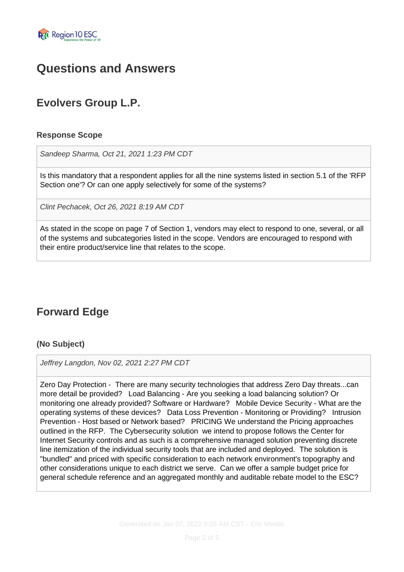

## **Questions and Answers**

### **Evolvers Group L.P.**

### **Response Scope**

*Sandeep Sharma, Oct 21, 2021 1:23 PM CDT*

Is this mandatory that a respondent applies for all the nine systems listed in section 5.1 of the 'RFP Section one'? Or can one apply selectively for some of the systems?

*Clint Pechacek, Oct 26, 2021 8:19 AM CDT*

As stated in the scope on page 7 of Section 1, vendors may elect to respond to one, several, or all of the systems and subcategories listed in the scope. Vendors are encouraged to respond with their entire product/service line that relates to the scope.

### **Forward Edge**

### **(No Subject)**

*Jeffrey Langdon, Nov 02, 2021 2:27 PM CDT*

Zero Day Protection - There are many security technologies that address Zero Day threats...can more detail be provided? Load Balancing - Are you seeking a load balancing solution? Or monitoring one already provided? Software or Hardware? Mobile Device Security - What are the operating systems of these devices? Data Loss Prevention - Monitoring or Providing? Intrusion Prevention - Host based or Network based? PRICING We understand the Pricing approaches outlined in the RFP. The Cybersecurity solution we intend to propose follows the Center for Internet Security controls and as such is a comprehensive managed solution preventing discrete line itemization of the individual security tools that are included and deployed. The solution is "bundled" and priced with specific consideration to each network environment's topography and other considerations unique to each district we serve. Can we offer a sample budget price for general schedule reference and an aggregated monthly and auditable rebate model to the ESC?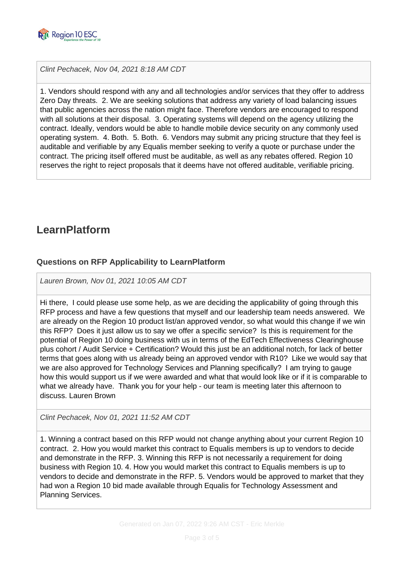

*Clint Pechacek, Nov 04, 2021 8:18 AM CDT*

1. Vendors should respond with any and all technologies and/or services that they offer to address Zero Day threats. 2. We are seeking solutions that address any variety of load balancing issues that public agencies across the nation might face. Therefore vendors are encouraged to respond with all solutions at their disposal. 3. Operating systems will depend on the agency utilizing the contract. Ideally, vendors would be able to handle mobile device security on any commonly used operating system. 4. Both. 5. Both. 6. Vendors may submit any pricing structure that they feel is auditable and verifiable by any Equalis member seeking to verify a quote or purchase under the contract. The pricing itself offered must be auditable, as well as any rebates offered. Region 10 reserves the right to reject proposals that it deems have not offered auditable, verifiable pricing.

### **LearnPlatform**

### **Questions on RFP Applicability to LearnPlatform**

*Lauren Brown, Nov 01, 2021 10:05 AM CDT*

Hi there, I could please use some help, as we are deciding the applicability of going through this RFP process and have a few questions that myself and our leadership team needs answered. We are already on the Region 10 product list/an approved vendor, so what would this change if we win this RFP? Does it just allow us to say we offer a specific service? Is this is requirement for the potential of Region 10 doing business with us in terms of the EdTech Effectiveness Clearinghouse plus cohort / Audit Service + Certification? Would this just be an additional notch, for lack of better terms that goes along with us already being an approved vendor with R10? Like we would say that we are also approved for Technology Services and Planning specifically? I am trying to gauge how this would support us if we were awarded and what that would look like or if it is comparable to what we already have. Thank you for your help - our team is meeting later this afternoon to discuss. Lauren Brown

*Clint Pechacek, Nov 01, 2021 11:52 AM CDT*

1. Winning a contract based on this RFP would not change anything about your current Region 10 contract. 2. How you would market this contract to Equalis members is up to vendors to decide and demonstrate in the RFP. 3. Winning this RFP is not necessarily a requirement for doing business with Region 10. 4. How you would market this contract to Equalis members is up to vendors to decide and demonstrate in the RFP. 5. Vendors would be approved to market that they had won a Region 10 bid made available through Equalis for Technology Assessment and Planning Services.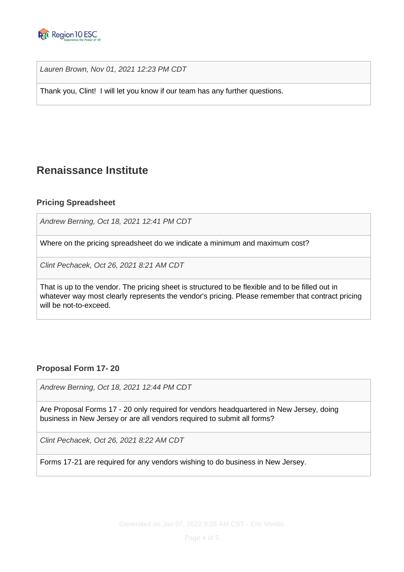

*Lauren Brown, Nov 01, 2021 12:23 PM CDT*

Thank you, Clint! I will let you know if our team has any further questions.

### **Renaissance Institute**

### **Pricing Spreadsheet**

*Andrew Berning, Oct 18, 2021 12:41 PM CDT*

Where on the pricing spreadsheet do we indicate a minimum and maximum cost?

*Clint Pechacek, Oct 26, 2021 8:21 AM CDT*

That is up to the vendor. The pricing sheet is structured to be flexible and to be filled out in whatever way most clearly represents the vendor's pricing. Please remember that contract pricing will be not-to-exceed.

### **Proposal Form 17- 20**

*Andrew Berning, Oct 18, 2021 12:44 PM CDT*

Are Proposal Forms 17 - 20 only required for vendors headquartered in New Jersey, doing business in New Jersey or are all vendors required to submit all forms?

*Clint Pechacek, Oct 26, 2021 8:22 AM CDT*

Forms 17-21 are required for any vendors wishing to do business in New Jersey.